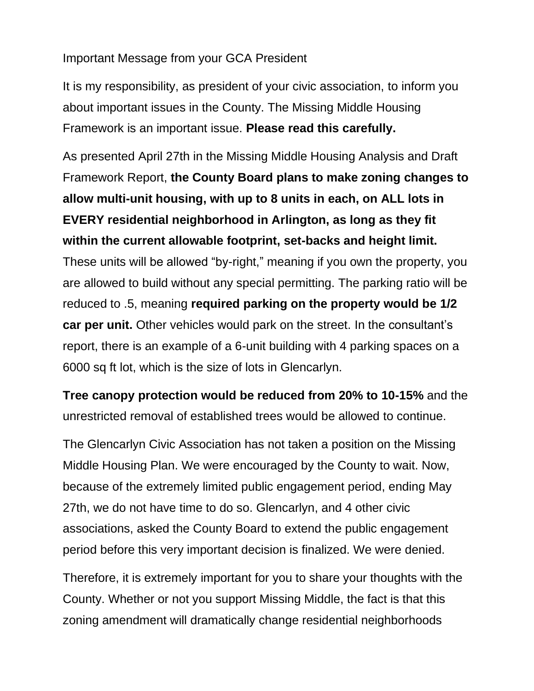## Important Message from your GCA President

It is my responsibility, as president of your civic association, to inform you about important issues in the County. The Missing Middle Housing Framework is an important issue. **Please read this carefully.**

As presented April 27th in the Missing Middle Housing Analysis and Draft Framework Report, **the County Board plans to make zoning changes to allow multi-unit housing, with up to 8 units in each, on ALL lots in EVERY residential neighborhood in Arlington, as long as they fit within the current allowable footprint, set-backs and height limit.** These units will be allowed "by-right," meaning if you own the property, you are allowed to build without any special permitting. The parking ratio will be reduced to .5, meaning **required parking on the property would be 1/2 car per unit.** Other vehicles would park on the street. In the consultant's report, there is an example of a 6-unit building with 4 parking spaces on a 6000 sq ft lot, which is the size of lots in Glencarlyn.

**Tree canopy protection would be reduced from 20% to 10-15%** and the unrestricted removal of established trees would be allowed to continue.

The Glencarlyn Civic Association has not taken a position on the Missing Middle Housing Plan. We were encouraged by the County to wait. Now, because of the extremely limited public engagement period, ending May 27th, we do not have time to do so. Glencarlyn, and 4 other civic associations, asked the County Board to extend the public engagement period before this very important decision is finalized. We were denied.

Therefore, it is extremely important for you to share your thoughts with the County. Whether or not you support Missing Middle, the fact is that this zoning amendment will dramatically change residential neighborhoods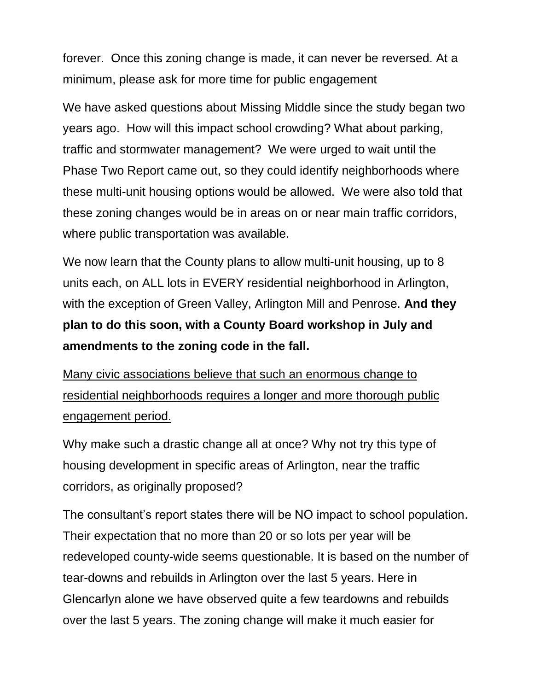forever. Once this zoning change is made, it can never be reversed. At a minimum, please ask for more time for public engagement

We have asked questions about Missing Middle since the study began two years ago. How will this impact school crowding? What about parking, traffic and stormwater management? We were urged to wait until the Phase Two Report came out, so they could identify neighborhoods where these multi-unit housing options would be allowed. We were also told that these zoning changes would be in areas on or near main traffic corridors, where public transportation was available.

We now learn that the County plans to allow multi-unit housing, up to 8 units each, on ALL lots in EVERY residential neighborhood in Arlington, with the exception of Green Valley, Arlington Mill and Penrose. **And they plan to do this soon, with a County Board workshop in July and amendments to the zoning code in the fall.**

Many civic associations believe that such an enormous change to residential neighborhoods requires a longer and more thorough public engagement period.

Why make such a drastic change all at once? Why not try this type of housing development in specific areas of Arlington, near the traffic corridors, as originally proposed?

The consultant's report states there will be NO impact to school population. Their expectation that no more than 20 or so lots per year will be redeveloped county-wide seems questionable. It is based on the number of tear-downs and rebuilds in Arlington over the last 5 years. Here in Glencarlyn alone we have observed quite a few teardowns and rebuilds over the last 5 years. The zoning change will make it much easier for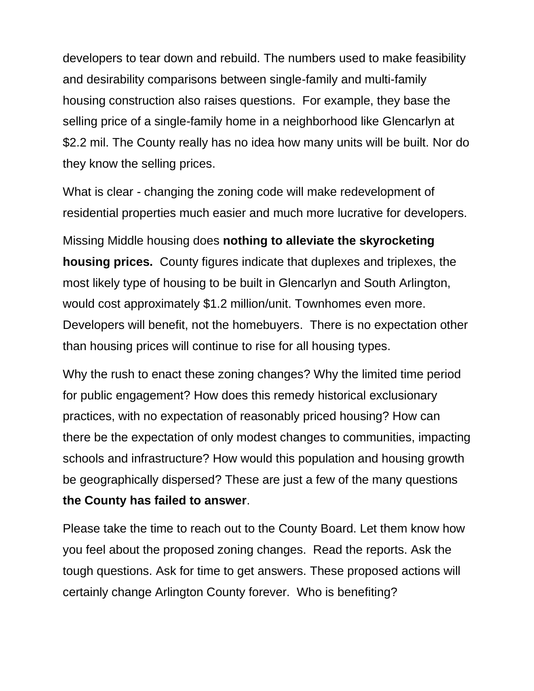developers to tear down and rebuild. The numbers used to make feasibility and desirability comparisons between single-family and multi-family housing construction also raises questions. For example, they base the selling price of a single-family home in a neighborhood like Glencarlyn at \$2.2 mil. The County really has no idea how many units will be built. Nor do they know the selling prices.

What is clear - changing the zoning code will make redevelopment of residential properties much easier and much more lucrative for developers.

Missing Middle housing does **nothing to alleviate the skyrocketing housing prices.** County figures indicate that duplexes and triplexes, the most likely type of housing to be built in Glencarlyn and South Arlington, would cost approximately \$1.2 million/unit. Townhomes even more. Developers will benefit, not the homebuyers. There is no expectation other than housing prices will continue to rise for all housing types.

Why the rush to enact these zoning changes? Why the limited time period for public engagement? How does this remedy historical exclusionary practices, with no expectation of reasonably priced housing? How can there be the expectation of only modest changes to communities, impacting schools and infrastructure? How would this population and housing growth be geographically dispersed? These are just a few of the many questions **the County has failed to answer**.

Please take the time to reach out to the County Board. Let them know how you feel about the proposed zoning changes. Read the reports. Ask the tough questions. Ask for time to get answers. These proposed actions will certainly change Arlington County forever. Who is benefiting?